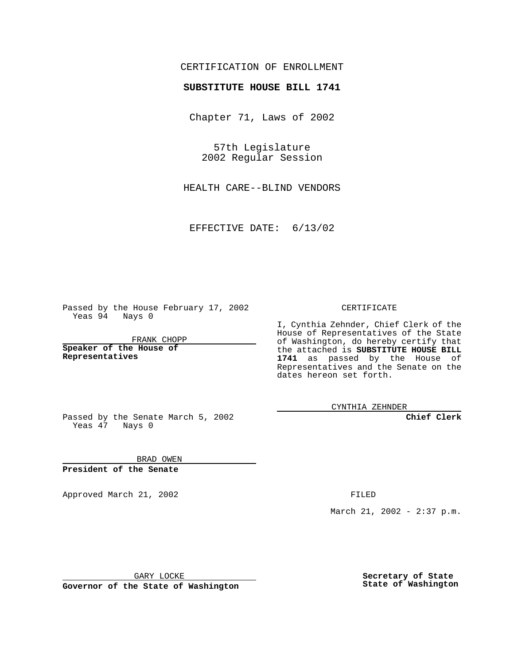## CERTIFICATION OF ENROLLMENT

## **SUBSTITUTE HOUSE BILL 1741**

Chapter 71, Laws of 2002

57th Legislature 2002 Regular Session

HEALTH CARE--BLIND VENDORS

EFFECTIVE DATE: 6/13/02

Passed by the House February 17, 2002 Yeas 94 Nays 0

FRANK CHOPP

**Speaker of the House of Representatives**

CERTIFICATE

I, Cynthia Zehnder, Chief Clerk of the House of Representatives of the State of Washington, do hereby certify that the attached is **SUBSTITUTE HOUSE BILL 1741** as passed by the House of Representatives and the Senate on the dates hereon set forth.

CYNTHIA ZEHNDER

**Chief Clerk**

Passed by the Senate March 5, 2002 Yeas  $47$  Nays 0

BRAD OWEN **President of the Senate**

Approved March 21, 2002 **FILED** 

March 21, 2002 - 2:37 p.m.

GARY LOCKE

**Governor of the State of Washington**

**Secretary of State State of Washington**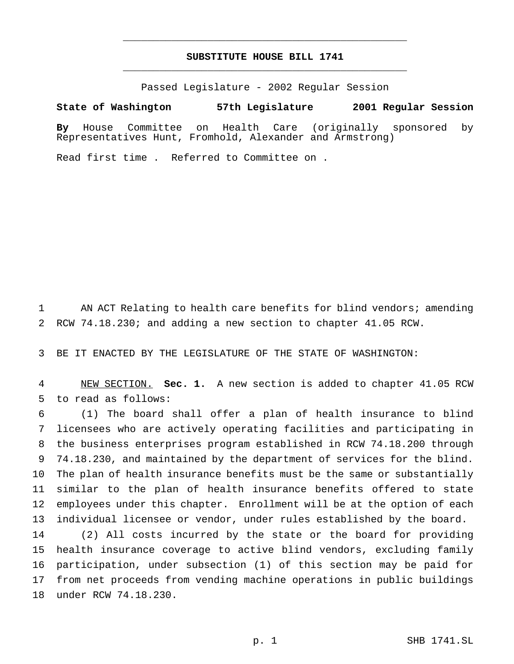## **SUBSTITUTE HOUSE BILL 1741** \_\_\_\_\_\_\_\_\_\_\_\_\_\_\_\_\_\_\_\_\_\_\_\_\_\_\_\_\_\_\_\_\_\_\_\_\_\_\_\_\_\_\_\_\_\_\_

\_\_\_\_\_\_\_\_\_\_\_\_\_\_\_\_\_\_\_\_\_\_\_\_\_\_\_\_\_\_\_\_\_\_\_\_\_\_\_\_\_\_\_\_\_\_\_

Passed Legislature - 2002 Regular Session

## **State of Washington 57th Legislature 2001 Regular Session**

**By** House Committee on Health Care (originally sponsored by Representatives Hunt, Fromhold, Alexander and Armstrong)

Read first time . Referred to Committee on .

 AN ACT Relating to health care benefits for blind vendors; amending RCW 74.18.230; and adding a new section to chapter 41.05 RCW.

BE IT ENACTED BY THE LEGISLATURE OF THE STATE OF WASHINGTON:

 NEW SECTION. **Sec. 1.** A new section is added to chapter 41.05 RCW to read as follows:

 (1) The board shall offer a plan of health insurance to blind licensees who are actively operating facilities and participating in the business enterprises program established in RCW 74.18.200 through 74.18.230, and maintained by the department of services for the blind. The plan of health insurance benefits must be the same or substantially similar to the plan of health insurance benefits offered to state employees under this chapter. Enrollment will be at the option of each individual licensee or vendor, under rules established by the board.

 (2) All costs incurred by the state or the board for providing health insurance coverage to active blind vendors, excluding family participation, under subsection (1) of this section may be paid for from net proceeds from vending machine operations in public buildings under RCW 74.18.230.